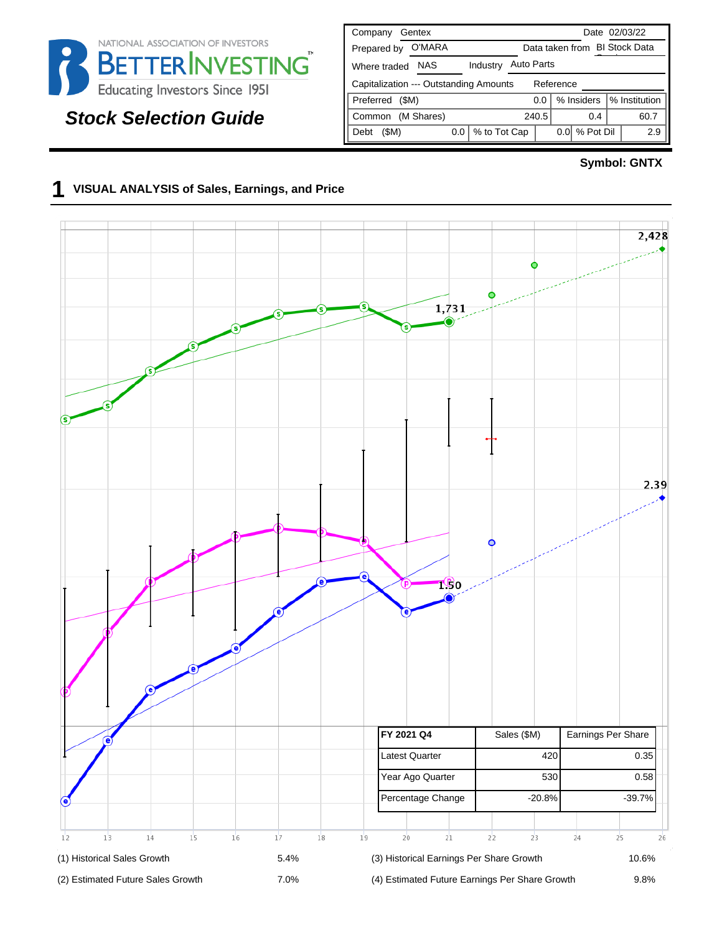

# **Stock Selection Guide**

| Company<br>Gentex                                   | Date 02/03/22                      |  |  |  |  |  |  |  |  |  |  |  |
|-----------------------------------------------------|------------------------------------|--|--|--|--|--|--|--|--|--|--|--|
| O'MARA<br>Prepared by                               | Data taken from BI Stock Data      |  |  |  |  |  |  |  |  |  |  |  |
| Industry<br>NAS<br>Where traded                     | <b>Auto Parts</b>                  |  |  |  |  |  |  |  |  |  |  |  |
| Capitalization --- Outstanding Amounts<br>Reference |                                    |  |  |  |  |  |  |  |  |  |  |  |
| Preferred<br>(SM)                                   | % Institution<br>% Insiders<br>0.0 |  |  |  |  |  |  |  |  |  |  |  |
| (M Shares)<br>Common                                | 240.5<br>60.7<br>0.4               |  |  |  |  |  |  |  |  |  |  |  |
| % to Tot Cap<br>(SM)<br>0.0<br>Debt                 | % Pot Dil<br>2.9<br>0.01           |  |  |  |  |  |  |  |  |  |  |  |

#### **Symbol: GNTX**

#### **1 VISUAL ANALYSIS of Sales, Earnings, and Price**

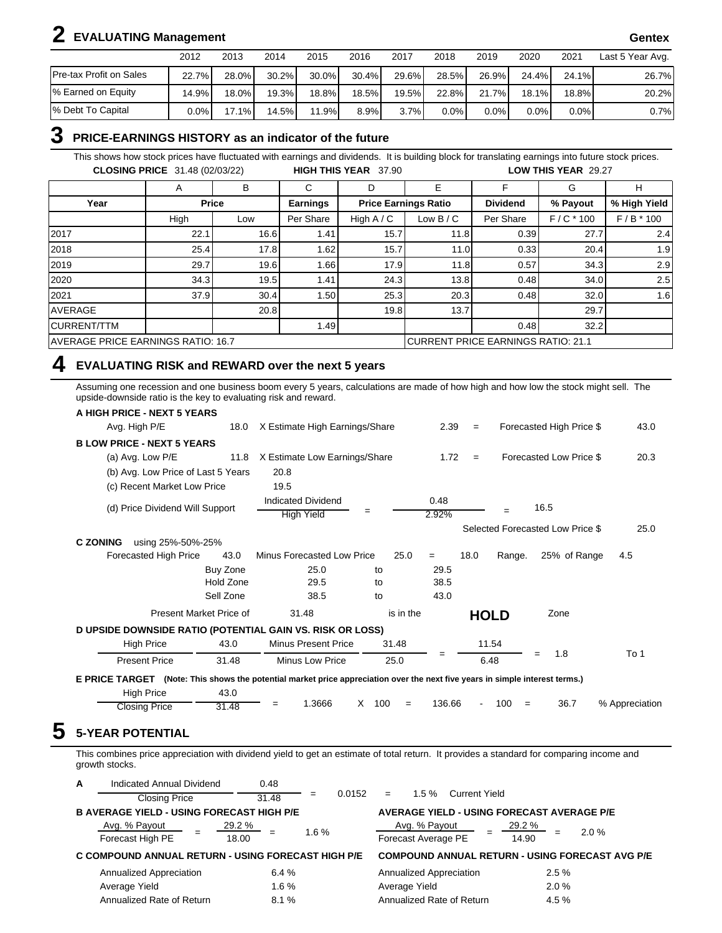# **2 EVALUATING Management Gentex**

|                         | 2012    | 2013  | 2014     | 2015     | 2016     | 2017  | 2018    | 2019  | 2020     | 2021     | Last 5 Year Avg. |
|-------------------------|---------|-------|----------|----------|----------|-------|---------|-------|----------|----------|------------------|
| Pre-tax Profit on Sales | 22.7%   | 28.0% | $30.2\%$ | $30.0\%$ | $30.4\%$ | 29.6% | 28.5%   | 26.9% | 24.4%    | 24.1%    | 26.7%            |
| % Earned on Equity      | 14.9%   | 18.0% | 19.3%I   | 18.8%)   | $18.5\%$ | 19.5% | 22.8%   | 21.7% | $18.1\%$ | $18.8\%$ | 20.2%            |
| % Debt To Capital       | $0.0\%$ | 17.1% | 14.5%    | 11.9%    | 8.9%     | 3.7%  | $0.0\%$ | 0.0%  | $0.0\%$  | 0.0%     | 0.7%             |

### **3 PRICE-EARNINGS HISTORY as an indicator of the future**

This shows how stock prices have fluctuated with earnings and dividends. It is building block for translating earnings into future stock prices. **CLOSING PRICE** 31.48 (02/03/22) **HIGH THIS YEAR** 37.90 **LOW THIS YEAR** 29.27

|                                           | A           | B     | ⌒<br>U                                    | D            | Е                           |                 | G           | н            |  |
|-------------------------------------------|-------------|-------|-------------------------------------------|--------------|-----------------------------|-----------------|-------------|--------------|--|
| Year                                      |             | Price | <b>Earnings</b>                           |              | <b>Price Earnings Ratio</b> | <b>Dividend</b> | % Payout    | % High Yield |  |
|                                           | High<br>Low |       | Per Share                                 | High $A / C$ | Low $B/C$                   | Per Share       | $F/C * 100$ | $F/B * 100$  |  |
| 2017                                      | 22.1        | 16.6  | 1.41                                      | 15.7         | 11.8                        | 0.39            | 27.7        | 2.4          |  |
| 2018                                      | 25.4        | 17.8  | 1.62                                      | 15.7         | 11.0                        | 0.33            | 20.4        | 1.9          |  |
| 2019                                      | 29.7        | 19.6  | 1.66                                      | 17.9         | 11.8                        | 0.57            | 34.3        | 2.9          |  |
| 2020                                      | 34.3        | 19.5  | 1.41                                      | 24.3         | 13.8                        | 0.48            | 34.0        | 2.5          |  |
| 2021                                      | 37.9        | 30.4  | 1.50                                      | 25.3         | 20.3                        | 0.48            | 32.0        | 1.6          |  |
| <b>AVERAGE</b>                            |             | 20.8  |                                           | 19.8         | 13.7                        |                 | 29.7        |              |  |
| <b>CURRENT/TTM</b>                        |             |       | 1.49                                      |              |                             | 0.48            | 32.2        |              |  |
| <b>AVERAGE PRICE EARNINGS RATIO: 16.7</b> |             |       | <b>CURRENT PRICE EARNINGS RATIO: 21.1</b> |              |                             |                 |             |              |  |

### **4 EVALUATING RISK and REWARD over the next 5 years**

Assuming one recession and one business boom every 5 years, calculations are made of how high and how low the stock might sell. The upside-downside ratio is the key to evaluating risk and reward.

| A HIGH PRICE - NEXT 5 YEARS                                                                                                  |           |                                                |          |           |               |      |             |                                  |                |
|------------------------------------------------------------------------------------------------------------------------------|-----------|------------------------------------------------|----------|-----------|---------------|------|-------------|----------------------------------|----------------|
| Avg. High P/E                                                                                                                | 18.0      | X Estimate High Earnings/Share                 |          |           | 2.39          | $=$  |             | Forecasted High Price \$         | 43.0           |
| <b>BLOW PRICE - NEXT 5 YEARS</b>                                                                                             |           |                                                |          |           |               |      |             |                                  |                |
| (a) Avg. Low P/E                                                                                                             | 11.8      | X Estimate Low Earnings/Share                  |          |           | 1.72          | $=$  |             | Forecasted Low Price \$          | 20.3           |
| (b) Avg. Low Price of Last 5 Years                                                                                           |           | 20.8                                           |          |           |               |      |             |                                  |                |
| (c) Recent Market Low Price                                                                                                  |           | 19.5                                           |          |           |               |      |             |                                  |                |
| (d) Price Dividend Will Support                                                                                              |           | <b>Indicated Dividend</b><br><b>High Yield</b> | $=$      |           | 0.48<br>2.92% |      |             | 16.5                             |                |
|                                                                                                                              |           |                                                |          |           |               |      |             | Selected Forecasted Low Price \$ | 25.0           |
| <b>C ZONING</b><br>using 25%-50%-25%                                                                                         |           |                                                |          |           |               |      |             |                                  |                |
| Forecasted High Price                                                                                                        | 43.0      | Minus Forecasted Low Price                     |          | 25.0      | $=$           | 18.0 | Range.      | 25% of Range                     | 4.5            |
|                                                                                                                              | Buy Zone  | 25.0                                           | to       |           | 29.5          |      |             |                                  |                |
|                                                                                                                              | Hold Zone | 29.5                                           | to       |           | 38.5          |      |             |                                  |                |
|                                                                                                                              | Sell Zone | 38.5                                           | to       |           | 43.0          |      |             |                                  |                |
| Present Market Price of                                                                                                      |           | 31.48                                          |          | is in the |               |      | <b>HOLD</b> | Zone                             |                |
| D UPSIDE DOWNSIDE RATIO (POTENTIAL GAIN VS. RISK OR LOSS)                                                                    |           |                                                |          |           |               |      |             |                                  |                |
| <b>High Price</b>                                                                                                            | 43.0      | <b>Minus Present Price</b>                     | 31.48    |           |               |      | 11.54       |                                  |                |
| <b>Present Price</b>                                                                                                         | 31.48     | Minus Low Price                                | 25.0     |           | $=$           |      | 6.48        | 1.8<br>$=$                       | To 1           |
| E PRICE TARGET (Note: This shows the potential market price appreciation over the next five years in simple interest terms.) |           |                                                |          |           |               |      |             |                                  |                |
| <b>High Price</b>                                                                                                            | 43.0      |                                                |          |           |               |      |             |                                  |                |
| <b>Closing Price</b>                                                                                                         | 31.48     | 1.3666<br>$=$                                  | X<br>100 | $=$       | 136.66        | ÷,   | 100<br>$=$  | 36.7                             | % Appreciation |

This combines price appreciation with dividend yield to get an estimate of total return. It provides a standard for comparing income and growth stocks.

| A | Indicated Annual Dividend                          | 0.48                   |               |     |                                      |                                                   |                   |       |                                                        |
|---|----------------------------------------------------|------------------------|---------------|-----|--------------------------------------|---------------------------------------------------|-------------------|-------|--------------------------------------------------------|
|   | <b>Closing Price</b>                               | 31.48                  | 0.0152<br>$=$ | $=$ | 1.5%                                 | <b>Current Yield</b>                              |                   |       |                                                        |
|   | <b>B AVERAGE YIELD - USING FORECAST HIGH P/E</b>   |                        |               |     |                                      | <b>AVERAGE YIELD - USING FORECAST AVERAGE P/E</b> |                   |       |                                                        |
|   | Avg. % Payout<br>Forecast High PE                  | <u>29.2 %</u><br>18.00 | 1.6%          |     | Avg. % Payout<br>Forecast Average PE |                                                   | $29.2\%$<br>14.90 | $=$   | 2.0%                                                   |
|   | C COMPOUND ANNUAL RETURN - USING FORECAST HIGH P/E |                        |               |     |                                      |                                                   |                   |       | <b>COMPOUND ANNUAL RETURN - USING FORECAST AVG P/E</b> |
|   | Annualized Appreciation                            | 6.4%                   |               |     | Annualized Appreciation              |                                                   |                   | 2.5%  |                                                        |
|   | Average Yield                                      | 1.6%                   |               |     | Average Yield                        |                                                   |                   | 2.0%  |                                                        |
|   | Annualized Rate of Return                          | 8.1%                   |               |     |                                      | Annualized Rate of Return                         |                   | 4.5 % |                                                        |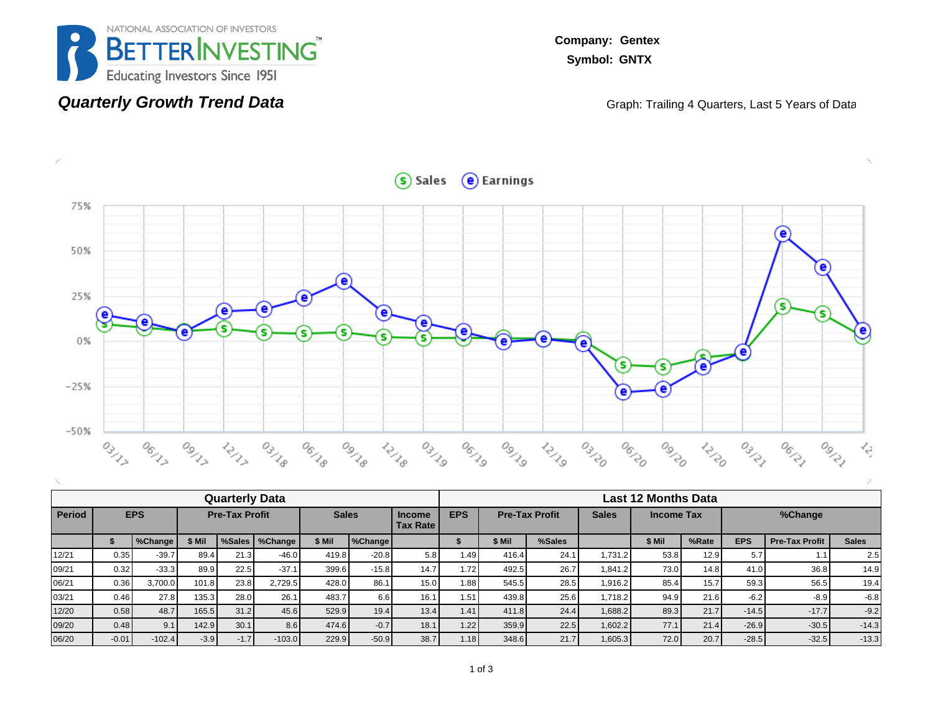

**Quarterly Growth Trend Data**

**Company: Gentex Symbol: GNTX**

Graph: Trailing 4 Quarters, Last 5 Years of Data



| <b>Quarterly Data</b> |         |            |                       |        |          |              |         |                                  |            | Last 12 Months Data   |        |              |        |                   |            |                       |              |  |  |  |
|-----------------------|---------|------------|-----------------------|--------|----------|--------------|---------|----------------------------------|------------|-----------------------|--------|--------------|--------|-------------------|------------|-----------------------|--------------|--|--|--|
| <b>Period</b>         |         | <b>EPS</b> | <b>Pre-Tax Profit</b> |        |          | <b>Sales</b> |         | <b>Income</b><br><b>Tax Rate</b> | <b>EPS</b> | <b>Pre-Tax Profit</b> |        | <b>Sales</b> |        | <b>Income Tax</b> |            | %Change               |              |  |  |  |
|                       |         | %Change    | \$ Mil                | %Sales | %Change  | \$ Mil       | SChange |                                  |            | \$ Mil                | %Sales |              | \$ Mil | %Rate             | <b>EPS</b> | <b>Pre-Tax Profit</b> | <b>Sales</b> |  |  |  |
| 12/21                 | 0.35    | $-39.7$    | 89.4                  | 21.3   | $-46.0$  | 419.8        | $-20.8$ | 5.8                              | 1.49       | 416.4                 | 24.1   | 1.731.2      | 53.8   | 12.9              | 5.7        | 1.1                   | 2.5          |  |  |  |
| 09/21                 | 0.32    | $-33.3$    | 89.9                  | 22.5   | $-37.1$  | 399.6        | $-15.8$ | 14.7                             | 1.72       | 492.5                 | 26.7   | 1,841.2      | 73.0   | 14.8              | 41.0       | 36.8                  | 14.9         |  |  |  |
| 06/21                 | 0.36    | 3.700.0    | 101.8                 | 23.8   | 2,729.5  | 428.0        | 86.1    | 15.0                             | 1.88       | 545.5                 | 28.5   | 1,916.2      | 85.4   | 15.7              | 59.3       | 56.5                  | 19.4         |  |  |  |
| 03/21                 | 0.46    | 27.8       | 135.3                 | 28.0   | 26.1     | 483.7        | 6.6     | 16.1                             | 1.51       | 439.8                 | 25.6   | 1,718.2      | 94.9   | 21.6              | $-6.2$     | $-8.9$                | $-6.8$       |  |  |  |
| 12/20                 | 0.58    | 48.7       | 165.5                 | 31.2   | 45.6     | 529.9        | 19.4    | 13.4                             | 1.41       | 411.8                 | 24.4   | 1,688.2      | 89.3   | 21.7              | $-14.5$    | $-17.7$               | $-9.2$       |  |  |  |
| 09/20                 | 0.48    | 9.1        | 142.9                 | 30.1   | 8.6      | 474.6        | $-0.7$  | 18.1                             | 1.22       | 359.9                 | 22.5   | 1,602.2      | 77.1   | 21.4              | $-26.9$    | $-30.5$               | $-14.3$      |  |  |  |
| 06/20                 | $-0.01$ | $-102.4$   | $-3.9$                | $-1.7$ | $-103.0$ | 229.9        | $-50.9$ | 38.7                             | 1.18       | 348.6                 | 21.7   | 1,605.3      | 72.0   | 20.7              | $-28.5$    | $-32.5$               | $-13.3$      |  |  |  |

Sales e Earnings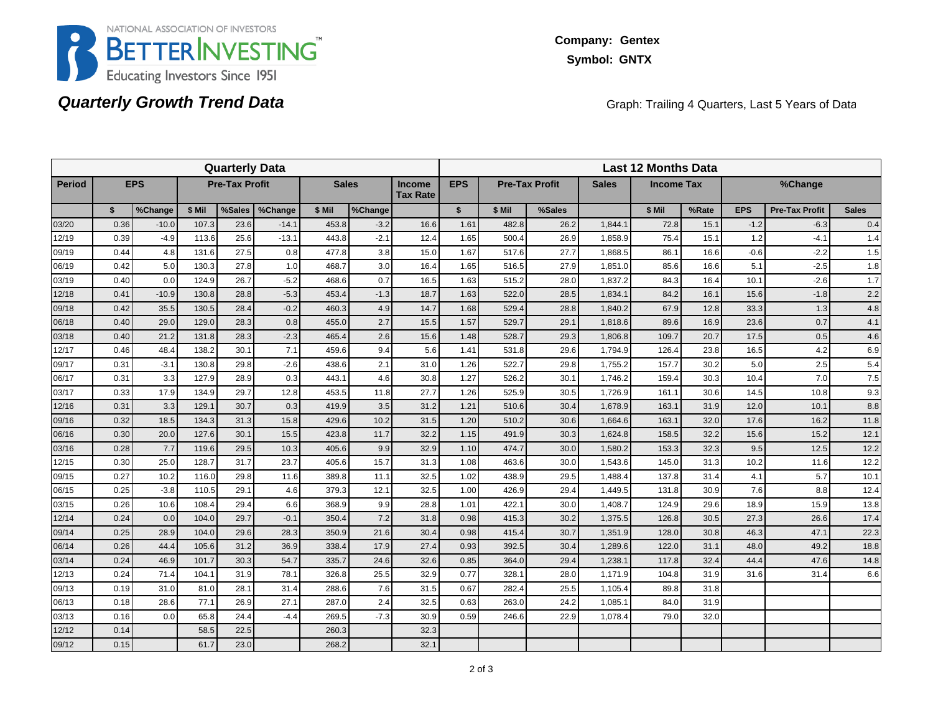

## **Quarterly Growth Trend Data**

Graph: Trailing 4 Quarters, Last 5 Years of Data

| <b>Quarterly Data</b> |      |            |        |                       |         |                                                  |         |            | <b>Last 12 Months Data</b> |                       |              |                   |        |         |            |                       |              |  |
|-----------------------|------|------------|--------|-----------------------|---------|--------------------------------------------------|---------|------------|----------------------------|-----------------------|--------------|-------------------|--------|---------|------------|-----------------------|--------------|--|
| <b>Period</b>         |      | <b>EPS</b> |        | <b>Pre-Tax Profit</b> |         | <b>Sales</b><br><b>Income</b><br><b>Tax Rate</b> |         | <b>EPS</b> |                            | <b>Pre-Tax Profit</b> | <b>Sales</b> | <b>Income Tax</b> |        | %Change |            |                       |              |  |
|                       | \$   | %Change    | \$ Mil | %Sales                | %Change | \$ Mil                                           | %Change |            | $\mathbf{s}$               | \$ Mil                | %Sales       |                   | \$ Mil | %Rate   | <b>EPS</b> | <b>Pre-Tax Profit</b> | <b>Sales</b> |  |
| 03/20                 | 0.36 | $-10.0$    | 107.3  | 23.6                  | $-14.1$ | 453.8                                            | $-3.2$  | 16.6       | 1.61                       | 482.8                 | 26.2         | 1,844.1           | 72.8   | 15.1    | $-1.2$     | $-6.3$                | 0.4          |  |
| 12/19                 | 0.39 | $-4.9$     | 113.6  | 25.6                  | $-13.1$ | 443.8                                            | $-2.1$  | 12.4       | 1.65                       | 500.4                 | 26.9         | 1,858.9           | 75.4   | 15.1    | 1.2        | $-4.1$                | 1.4          |  |
| 09/19                 | 0.44 | 4.8        | 131.6  | 27.5                  | 0.8     | 477.8                                            | 3.8     | 15.0       | 1.67                       | 517.6                 | 27.7         | 1,868.5           | 86.1   | 16.6    | $-0.6$     | $-2.2$                | 1.5          |  |
| 06/19                 | 0.42 | 5.0        | 130.3  | 27.8                  | 1.0     | 468.7                                            | 3.0     | 16.4       | 1.65                       | 516.5                 | 27.9         | 1,851.0           | 85.6   | 16.6    | 5.1        | $-2.5$                | 1.8          |  |
| 03/19                 | 0.40 | 0.0        | 124.9  | 26.7                  | $-5.2$  | 468.6                                            | 0.7     | 16.5       | 1.63                       | 515.2                 | 28.0         | 1,837.2           | 84.3   | 16.4    | 10.1       | $-2.6$                | $1.7$        |  |
| 12/18                 | 0.41 | $-10.9$    | 130.8  | 28.8                  | $-5.3$  | 453.4                                            | $-1.3$  | 18.7       | 1.63                       | 522.0                 | 28.5         | 1,834.1           | 84.2   | 16.1    | 15.6       | $-1.8$                | 2.2          |  |
| 09/18                 | 0.42 | 35.5       | 130.5  | 28.4                  | $-0.2$  | 460.3                                            | 4.9     | 14.7       | 1.68                       | 529.4                 | 28.8         | 1,840.2           | 67.9   | 12.8    | 33.3       | 1.3                   | 4.8          |  |
| 06/18                 | 0.40 | 29.0       | 129.0  | 28.3                  | 0.8     | 455.0                                            | 2.7     | 15.5       | 1.57                       | 529.7                 | 29.1         | 1,818.6           | 89.6   | 16.9    | 23.6       | 0.7                   | 4.1          |  |
| 03/18                 | 0.40 | 21.2       | 131.8  | 28.3                  | $-2.3$  | 465.4                                            | 2.6     | 15.6       | 1.48                       | 528.7                 | 29.3         | 1,806.8           | 109.7  | 20.7    | 17.5       | 0.5                   | 4.6          |  |
| 12/17                 | 0.46 | 48.4       | 138.2  | 30.1                  | 7.1     | 459.6                                            | 9.4     | 5.6        | 1.41                       | 531.8                 | 29.6         | 1,794.9           | 126.4  | 23.8    | 16.5       | 4.2                   | 6.9          |  |
| 09/17                 | 0.31 | $-3.1$     | 130.8  | 29.8                  | $-2.6$  | 438.6                                            | 2.1     | 31.0       | 1.26                       | 522.7                 | 29.8         | 1,755.2           | 157.7  | 30.2    | 5.0        | 2.5                   | 5.4          |  |
| 06/17                 | 0.31 | 3.3        | 127.9  | 28.9                  | 0.3     | 443.1                                            | 4.6     | 30.8       | 1.27                       | 526.2                 | 30.1         | 1,746.2           | 159.4  | 30.3    | 10.4       | 7.0                   | 7.5          |  |
| 03/17                 | 0.33 | 17.9       | 134.9  | 29.7                  | 12.8    | 453.5                                            | 11.8    | 27.7       | 1.26                       | 525.9                 | 30.5         | 1,726.9           | 161.1  | 30.6    | 14.5       | 10.8                  | 9.3          |  |
| 12/16                 | 0.31 | 3.3        | 129.1  | 30.7                  | 0.3     | 419.9                                            | 3.5     | 31.2       | 1.21                       | 510.6                 | 30.4         | 1,678.9           | 163.1  | 31.9    | 12.0       | 10.1                  | 8.8          |  |
| 09/16                 | 0.32 | 18.5       | 134.3  | 31.3                  | 15.8    | 429.6                                            | 10.2    | 31.5       | 1.20                       | 510.2                 | 30.6         | 1,664.6           | 163.1  | 32.0    | 17.6       | 16.2                  | 11.8         |  |
| 06/16                 | 0.30 | 20.0       | 127.6  | 30.1                  | 15.5    | 423.8                                            | 11.7    | 32.2       | 1.15                       | 491.9                 | 30.3         | 1,624.8           | 158.5  | 32.2    | 15.6       | 15.2                  | 12.1         |  |
| 03/16                 | 0.28 | 7.7        | 119.6  | 29.5                  | 10.3    | 405.6                                            | 9.9     | 32.9       | 1.10                       | 474.7                 | 30.0         | 1,580.2           | 153.3  | 32.3    | 9.5        | 12.5                  | 12.2         |  |
| 12/15                 | 0.30 | 25.0       | 128.7  | 31.7                  | 23.7    | 405.6                                            | 15.7    | 31.3       | 1.08                       | 463.6                 | 30.0         | 1,543.6           | 145.0  | 31.3    | 10.2       | 11.6                  | 12.2         |  |
| 09/15                 | 0.27 | 10.2       | 116.0  | 29.8                  | 11.6    | 389.8                                            | 11.1    | 32.5       | 1.02                       | 438.9                 | 29.5         | 1,488.4           | 137.8  | 31.4    | 4.1        | 5.7                   | 10.1         |  |
| 06/15                 | 0.25 | $-3.8$     | 110.5  | 29.1                  | 4.6     | 379.3                                            | 12.1    | 32.5       | 1.00                       | 426.9                 | 29.4         | 1.449.5           | 131.8  | 30.9    | 7.6        | 8.8                   | 12.4         |  |
| 03/15                 | 0.26 | 10.6       | 108.4  | 29.4                  | 6.6     | 368.9                                            | 9.9     | 28.8       | 1.01                       | 422.1                 | 30.0         | 1,408.7           | 124.9  | 29.6    | 18.9       | 15.9                  | 13.8         |  |
| 12/14                 | 0.24 | 0.0        | 104.0  | 29.7                  | $-0.1$  | 350.4                                            | 7.2     | 31.8       | 0.98                       | 415.3                 | 30.2         | 1,375.5           | 126.8  | 30.5    | 27.3       | 26.6                  | 17.4         |  |
| 09/14                 | 0.25 | 28.9       | 104.0  | 29.6                  | 28.3    | 350.9                                            | 21.6    | 30.4       | 0.98                       | 415.4                 | 30.7         | 1,351.9           | 128.0  | 30.8    | 46.3       | 47.1                  | 22.3         |  |
| 06/14                 | 0.26 | 44.4       | 105.6  | 31.2                  | 36.9    | 338.4                                            | 17.9    | 27.4       | 0.93                       | 392.5                 | 30.4         | 1,289.6           | 122.0  | 31.1    | 48.0       | 49.2                  | 18.8         |  |
| 03/14                 | 0.24 | 46.9       | 101.7  | 30.3                  | 54.7    | 335.7                                            | 24.6    | 32.6       | 0.85                       | 364.0                 | 29.4         | 1,238.1           | 117.8  | 32.4    | 44.4       | 47.6                  | 14.8         |  |
| 12/13                 | 0.24 | 71.4       | 104.1  | 31.9                  | 78.1    | 326.8                                            | 25.5    | 32.9       | 0.77                       | 328.1                 | 28.0         | 1,171.9           | 104.8  | 31.9    | 31.6       | 31.4                  | 6.6          |  |
| 09/13                 | 0.19 | 31.0       | 81.0   | 28.1                  | 31.4    | 288.6                                            | 7.6     | 31.5       | 0.67                       | 282.4                 | 25.5         | 1,105.4           | 89.8   | 31.8    |            |                       |              |  |
| 06/13                 | 0.18 | 28.6       | 77.1   | 26.9                  | 27.1    | 287.0                                            | 2.4     | 32.5       | 0.63                       | 263.0                 | 24.2         | 1,085.1           | 84.0   | 31.9    |            |                       |              |  |
| 03/13                 | 0.16 | 0.0        | 65.8   | 24.4                  | $-4.4$  | 269.5                                            | $-7.3$  | 30.9       | 0.59                       | 246.6                 | 22.9         | 1,078.4           | 79.0   | 32.0    |            |                       |              |  |
| 12/12                 | 0.14 |            | 58.5   | 22.5                  |         | 260.3                                            |         | 32.3       |                            |                       |              |                   |        |         |            |                       |              |  |
| 09/12                 | 0.15 |            | 61.7   | 23.0                  |         | 268.2                                            |         | 32.1       |                            |                       |              |                   |        |         |            |                       |              |  |